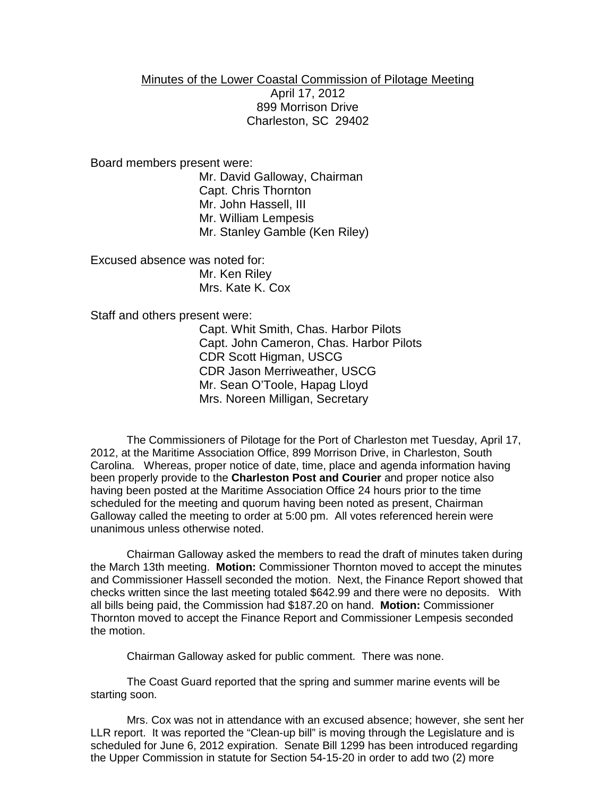## Minutes of the Lower Coastal Commission of Pilotage Meeting April 17, 2012 899 Morrison Drive Charleston, SC 29402

Board members present were:

Mr. David Galloway, Chairman Capt. Chris Thornton Mr. John Hassell, III Mr. William Lempesis Mr. Stanley Gamble (Ken Riley)

Excused absence was noted for: Mr. Ken Riley Mrs. Kate K. Cox

Staff and others present were:

Capt. Whit Smith, Chas. Harbor Pilots Capt. John Cameron, Chas. Harbor Pilots CDR Scott Higman, USCG CDR Jason Merriweather, USCG Mr. Sean O'Toole, Hapag Lloyd Mrs. Noreen Milligan, Secretary

The Commissioners of Pilotage for the Port of Charleston met Tuesday, April 17, 2012, at the Maritime Association Office, 899 Morrison Drive, in Charleston, South Carolina. Whereas, proper notice of date, time, place and agenda information having been properly provide to the **Charleston Post and Courier** and proper notice also having been posted at the Maritime Association Office 24 hours prior to the time scheduled for the meeting and quorum having been noted as present, Chairman Galloway called the meeting to order at 5:00 pm. All votes referenced herein were unanimous unless otherwise noted.

Chairman Galloway asked the members to read the draft of minutes taken during the March 13th meeting. **Motion:** Commissioner Thornton moved to accept the minutes and Commissioner Hassell seconded the motion. Next, the Finance Report showed that checks written since the last meeting totaled \$642.99 and there were no deposits. With all bills being paid, the Commission had \$187.20 on hand. **Motion:** Commissioner Thornton moved to accept the Finance Report and Commissioner Lempesis seconded the motion.

Chairman Galloway asked for public comment. There was none.

The Coast Guard reported that the spring and summer marine events will be starting soon.

Mrs. Cox was not in attendance with an excused absence; however, she sent her LLR report. It was reported the "Clean-up bill" is moving through the Legislature and is scheduled for June 6, 2012 expiration. Senate Bill 1299 has been introduced regarding the Upper Commission in statute for Section 54-15-20 in order to add two (2) more